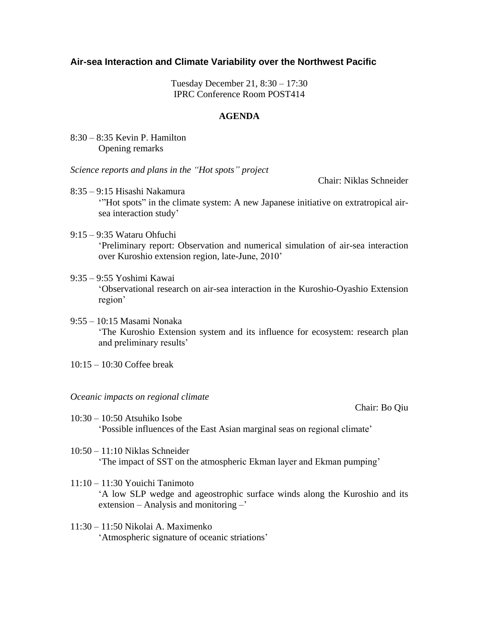## **Air-sea Interaction and Climate Variability over the Northwest Pacific**

Tuesday December 21, 8:30 – 17:30 IPRC Conference Room POST414

## **AGENDA**

8:30 – 8:35 Kevin P. Hamilton Opening remarks

*Science reports and plans in the "Hot spots" project*

Chair: Niklas Schneider

- 8:35 9:15 Hisashi Nakamura '"Hot spots" in the climate system: A new Japanese initiative on extratropical airsea interaction study'
- 9:15 9:35 Wataru Ohfuchi 'Preliminary report: Observation and numerical simulation of air-sea interaction over Kuroshio extension region, late-June, 2010'
- 9:35 9:55 Yoshimi Kawai 'Observational research on air-sea interaction in the Kuroshio-Oyashio Extension region'
- 9:55 10:15 Masami Nonaka 'The Kuroshio Extension system and its influence for ecosystem: research plan and preliminary results'
- 10:15 10:30 Coffee break

## *Oceanic impacts on regional climate*

Chair: Bo Qiu

- 10:30 10:50 Atsuhiko Isobe 'Possible influences of the East Asian marginal seas on regional climate'
- 10:50 11:10 Niklas Schneider 'The impact of SST on the atmospheric Ekman layer and Ekman pumping'
- 11:10 11:30 Youichi Tanimoto 'A low SLP wedge and ageostrophic surface winds along the Kuroshio and its extension – Analysis and monitoring –'
- 11:30 11:50 Nikolai A. Maximenko 'Atmospheric signature of oceanic striations'